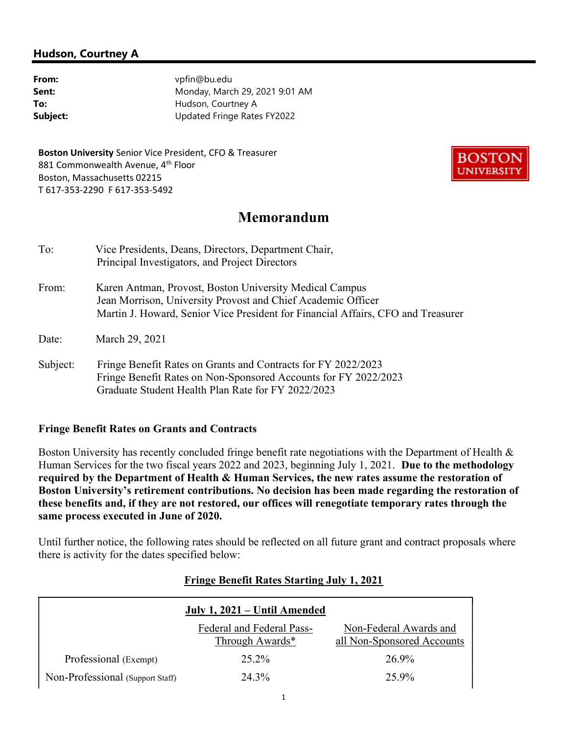### Hudson, Courtney A

| From:    |
|----------|
| Sent:    |
| To:      |
| Subject: |

vpfin@bu.edu Monday, March 29, 2021 9:01 AM Hudson, Courtney A Updated Fringe Rates FY2022

Boston University Senior Vice President, CFO & Treasurer 881 Commonwealth Avenue, 4<sup>th</sup> Floor Boston, Massachusetts 02215 T 617-353-2290 F 617-353-5492



# Memorandum

| To:   | Vice Presidents, Deans, Directors, Department Chair,<br>Principal Investigators, and Project Directors                                                                                                      |  |
|-------|-------------------------------------------------------------------------------------------------------------------------------------------------------------------------------------------------------------|--|
| From: | Karen Antman, Provost, Boston University Medical Campus<br>Jean Morrison, University Provost and Chief Academic Officer<br>Martin J. Howard, Senior Vice President for Financial Affairs, CFO and Treasurer |  |
| Date: | March 29, 2021                                                                                                                                                                                              |  |

Subject: Fringe Benefit Rates on Grants and Contracts for FY 2022/2023 Fringe Benefit Rates on Non-Sponsored Accounts for FY 2022/2023 Graduate Student Health Plan Rate for FY 2022/2023

#### Fringe Benefit Rates on Grants and Contracts

Boston University has recently concluded fringe benefit rate negotiations with the Department of Health & Human Services for the two fiscal years 2022 and 2023, beginning July 1, 2021. Due to the methodology required by the Department of Health & Human Services, the new rates assume the restoration of Boston University's retirement contributions. No decision has been made regarding the restoration of these benefits and, if they are not restored, our offices will renegotiate temporary rates through the same process executed in June of 2020.

Until further notice, the following rates should be reflected on all future grant and contract proposals where there is activity for the dates specified below:

| July 1, 2021 – Until Amended     |                                              |                                                      |  |  |
|----------------------------------|----------------------------------------------|------------------------------------------------------|--|--|
|                                  | Federal and Federal Pass-<br>Through Awards* | Non-Federal Awards and<br>all Non-Sponsored Accounts |  |  |
| Professional (Exempt)            | $25.2\%$                                     | 26.9%                                                |  |  |
| Non-Professional (Support Staff) | 24.3%                                        | 25.9%                                                |  |  |

#### Fringe Benefit Rates Starting July 1, 2021